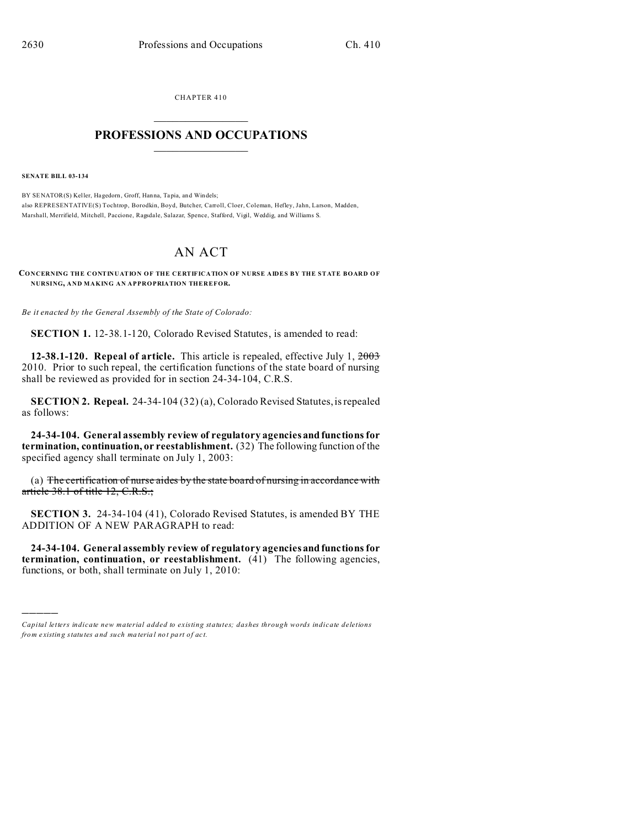CHAPTER 410  $\overline{\phantom{a}}$  , where  $\overline{\phantom{a}}$ 

## **PROFESSIONS AND OCCUPATIONS**  $\frac{1}{2}$  ,  $\frac{1}{2}$  ,  $\frac{1}{2}$  ,  $\frac{1}{2}$  ,  $\frac{1}{2}$  ,  $\frac{1}{2}$

**SENATE BILL 03-134**

)))))

BY SENATOR(S) Keller, Hagedorn, Groff, Hanna, Tapia, and Windels; also REPRESENTATIVE(S) Tochtrop, Borodkin, Boyd, Butcher, Carroll, Cloer, Coleman, Hefley, Jahn, Larson, Madden, Marshall, Merrifield, Mitchell, Paccione, Ragsdale, Salazar, Spence, Stafford, Vigil, Weddig, and Williams S.

## AN ACT

**CONCERNING THE CONTINUATION OF THE CERTIFICATION OF NURSE AIDES BY THE STATE BOARD OF NURSING, AND MAKING AN APPROPRIATION THEREFOR.**

*Be it enacted by the General Assembly of the State of Colorado:*

**SECTION 1.** 12-38.1-120, Colorado Revised Statutes, is amended to read:

**12-38.1-120. Repeal of article.** This article is repealed, effective July 1, 2003 2010. Prior to such repeal, the certification functions of the state board of nursing shall be reviewed as provided for in section 24-34-104, C.R.S.

**SECTION 2. Repeal.** 24-34-104 (32) (a), Colorado Revised Statutes, is repealed as follows:

**24-34-104. General assembly review of regulatory agencies and functions for termination, continuation, or reestablishment.** (32) The following function of the specified agency shall terminate on July 1, 2003:

(a) The certification of nurse aides by the state board of nursing in accordance with article 38.1 of title 12, C.R.S.;

**SECTION 3.** 24-34-104 (41), Colorado Revised Statutes, is amended BY THE ADDITION OF A NEW PARAGRAPH to read:

**24-34-104. General assembly review of regulatory agencies and functions for termination, continuation, or reestablishment.** (41) The following agencies, functions, or both, shall terminate on July 1, 2010:

*Capital letters indicate new material added to existing statutes; dashes through words indicate deletions from e xistin g statu tes a nd such ma teria l no t pa rt of ac t.*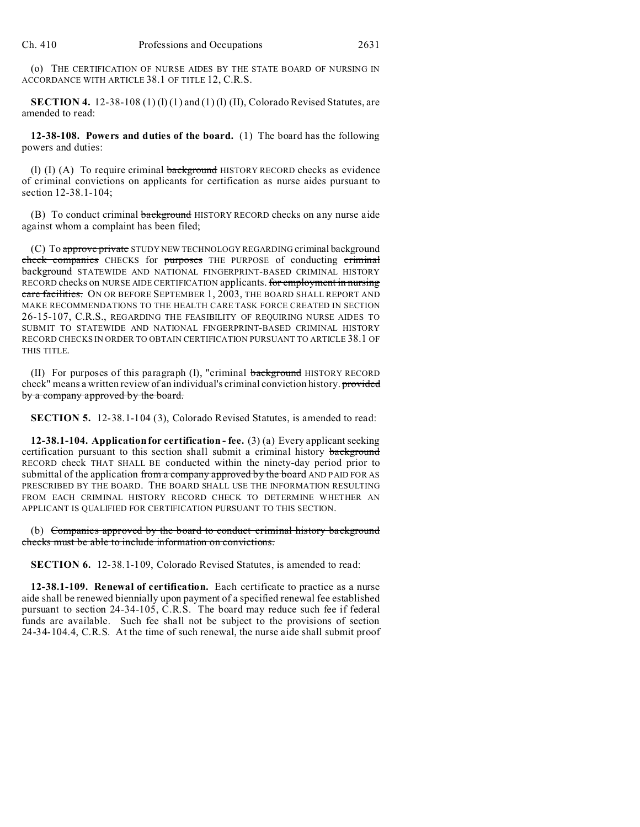(o) THE CERTIFICATION OF NURSE AIDES BY THE STATE BOARD OF NURSING IN ACCORDANCE WITH ARTICLE 38.1 OF TITLE 12, C.R.S.

**SECTION 4.** 12-38-108 (1) (1) (1) and (1) (1) (II), Colorado Revised Statutes, are amended to read:

**12-38-108. Powers and duties of the board.** (1) The board has the following powers and duties:

(I) (I) (A) To require criminal background HISTORY RECORD checks as evidence of criminal convictions on applicants for certification as nurse aides pursuant to section 12-38.1-104;

(B) To conduct criminal background HISTORY RECORD checks on any nurse aide against whom a complaint has been filed;

(C) To approve private STUDY NEW TECHNOLOGY REGARDING criminal background check companies CHECKS for purposes THE PURPOSE of conducting criminal background STATEWIDE AND NATIONAL FINGERPRINT-BASED CRIMINAL HISTORY RECORD checks on NURSE AIDE CERTIFICATION applicants. for employment in nursing care facilities. ON OR BEFORE SEPTEMBER 1, 2003, THE BOARD SHALL REPORT AND MAKE RECOMMENDATIONS TO THE HEALTH CARE TASK FORCE CREATED IN SECTION 26-15-107, C.R.S., REGARDING THE FEASIBILITY OF REQUIRING NURSE AIDES TO SUBMIT TO STATEWIDE AND NATIONAL FINGERPRINT-BASED CRIMINAL HISTORY RECORD CHECKS IN ORDER TO OBTAIN CERTIFICATION PURSUANT TO ARTICLE 38.1 OF THIS TITLE.

(II) For purposes of this paragraph (l), "criminal background HISTORY RECORD check" means a written review of an individual's criminal conviction history. provided by a company approved by the board.

**SECTION 5.** 12-38.1-104 (3), Colorado Revised Statutes, is amended to read:

**12-38.1-104. Application for certification - fee.** (3) (a) Every applicant seeking certification pursuant to this section shall submit a criminal history background RECORD check THAT SHALL BE conducted within the ninety-day period prior to submittal of the application from a company approved by the board AND PAID FOR AS PRESCRIBED BY THE BOARD. THE BOARD SHALL USE THE INFORMATION RESULTING FROM EACH CRIMINAL HISTORY RECORD CHECK TO DETERMINE WHETHER AN APPLICANT IS QUALIFIED FOR CERTIFICATION PURSUANT TO THIS SECTION.

(b) Companies approved by the board to conduct criminal history background checks must be able to include information on convictions.

**SECTION 6.** 12-38.1-109, Colorado Revised Statutes, is amended to read:

**12-38.1-109. Renewal of certification.** Each certificate to practice as a nurse aide shall be renewed biennially upon payment of a specified renewal fee established pursuant to section 24-34-105, C.R.S. The board may reduce such fee if federal funds are available. Such fee shall not be subject to the provisions of section 24-34-104.4, C.R.S. At the time of such renewal, the nurse aide shall submit proof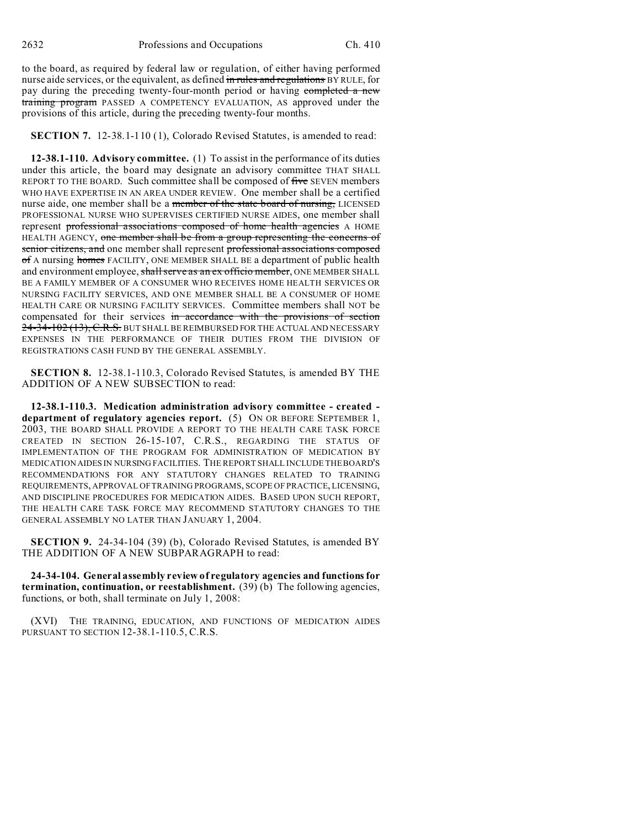to the board, as required by federal law or regulation, of either having performed nurse aide services, or the equivalent, as defined in rules and regulations BY RULE, for pay during the preceding twenty-four-month period or having completed a new training program PASSED A COMPETENCY EVALUATION, AS approved under the provisions of this article, during the preceding twenty-four months.

**SECTION 7.** 12-38.1-110 (1), Colorado Revised Statutes, is amended to read:

**12-38.1-110. Advisory committee.** (1) To assist in the performance of its duties under this article, the board may designate an advisory committee THAT SHALL REPORT TO THE BOARD. Such committee shall be composed of five SEVEN members WHO HAVE EXPERTISE IN AN AREA UNDER REVIEW. One member shall be a certified nurse aide, one member shall be a member of the state board of nursing, LICENSED PROFESSIONAL NURSE WHO SUPERVISES CERTIFIED NURSE AIDES, one member shall represent professional associations composed of home health agencies A HOME HEALTH AGENCY, one member shall be from a group representing the concerns of senior citizens, and one member shall represent professional associations composed of A nursing homes FACILITY, ONE MEMBER SHALL BE a department of public health and environment employee, shall serve as an ex officio member, ONE MEMBER SHALL BE A FAMILY MEMBER OF A CONSUMER WHO RECEIVES HOME HEALTH SERVICES OR NURSING FACILITY SERVICES, AND ONE MEMBER SHALL BE A CONSUMER OF HOME HEALTH CARE OR NURSING FACILITY SERVICES. Committee members shall NOT be compensated for their services in accordance with the provisions of section 24-34-102 (13), C.R.S. BUT SHALL BE REIMBURSED FOR THE ACTUAL AND NECESSARY EXPENSES IN THE PERFORMANCE OF THEIR DUTIES FROM THE DIVISION OF REGISTRATIONS CASH FUND BY THE GENERAL ASSEMBLY.

**SECTION 8.** 12-38.1-110.3, Colorado Revised Statutes, is amended BY THE ADDITION OF A NEW SUBSECTION to read:

**12-38.1-110.3. Medication administration advisory committee - created department of regulatory agencies report.** (5) ON OR BEFORE SEPTEMBER 1, 2003, THE BOARD SHALL PROVIDE A REPORT TO THE HEALTH CARE TASK FORCE CREATED IN SECTION 26-15-107, C.R.S., REGARDING THE STATUS OF IMPLEMENTATION OF THE PROGRAM FOR ADMINISTRATION OF MEDICATION BY MEDICATION AIDES IN NURSING FACILITIES. THE REPORT SHALL INCLUDE THE BOARD'S RECOMMENDATIONS FOR ANY STATUTORY CHANGES RELATED TO TRAINING REQUIREMENTS, APPROVAL OF TRAINING PROGRAMS, SCOPE OF PRACTICE, LICENSING, AND DISCIPLINE PROCEDURES FOR MEDICATION AIDES. BASED UPON SUCH REPORT, THE HEALTH CARE TASK FORCE MAY RECOMMEND STATUTORY CHANGES TO THE GENERAL ASSEMBLY NO LATER THAN JANUARY 1, 2004.

**SECTION 9.** 24-34-104 (39) (b), Colorado Revised Statutes, is amended BY THE ADDITION OF A NEW SUBPARAGRAPH to read:

**24-34-104. General assembly review of regulatory agencies and functions for termination, continuation, or reestablishment.** (39) (b) The following agencies, functions, or both, shall terminate on July 1, 2008:

(XVI) THE TRAINING, EDUCATION, AND FUNCTIONS OF MEDICATION AIDES PURSUANT TO SECTION 12-38.1-110.5, C.R.S.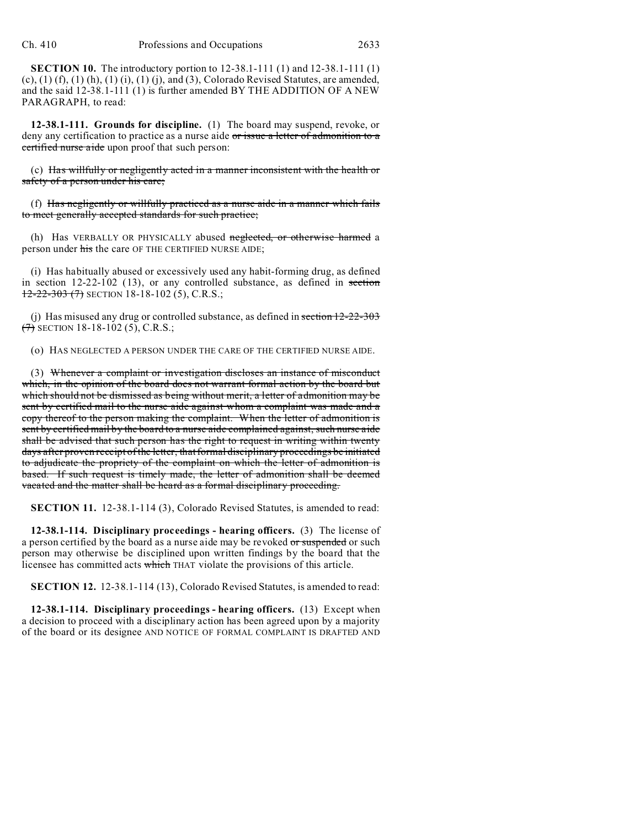**SECTION 10.** The introductory portion to 12-38.1-111 (1) and 12-38.1-111 (1)  $(c)$ ,  $(1)$   $(f)$ ,  $(1)$   $(h)$ ,  $(1)$   $(i)$ ,  $(1)$   $(i)$ , and  $(3)$ , Colorado Revised Statutes, are amended, and the said 12-38.1-111 (1) is further amended BY THE ADDITION OF A NEW PARAGRAPH, to read:

**12-38.1-111. Grounds for discipline.** (1) The board may suspend, revoke, or deny any certification to practice as a nurse aide or issue a letter of admonition to a certified nurse aide upon proof that such person:

(c) Has willfully or negligently acted in a manner inconsistent with the health or safety of a person under his care;

(f) Has negligently or willfully practiced as a nurse aide in a manner which fails to meet generally accepted standards for such practice;

(h) Has VERBALLY OR PHYSICALLY abused neglected, or otherwise harmed a person under his the care OF THE CERTIFIED NURSE AIDE;

(i) Has habitually abused or excessively used any habit-forming drug, as defined in section 12-22-102 (13), or any controlled substance, as defined in section  $12-22-303$  (7) SECTION 18-18-102 (5), C.R.S.;

(j) Has misused any drug or controlled substance, as defined in section 12-22-303  $(7)$  SECTION 18-18-102 (5), C.R.S.;

(o) HAS NEGLECTED A PERSON UNDER THE CARE OF THE CERTIFIED NURSE AIDE.

(3) Whenever a complaint or investigation discloses an instance of misconduct which, in the opinion of the board does not warrant formal action by the board but which should not be dismissed as being without merit, a letter of admonition may be sent by certified mail to the nurse aide against whom a complaint was made and a copy thereof to the person making the complaint. When the letter of admonition is sent by certified mail by the board to a nurse aide complained against, such nurse aide shall be advised that such person has the right to request in writing within twenty days after proven receipt of the letter, that formal disciplinary proceedings be initiated to adjudicate the propriety of the complaint on which the letter of admonition is based. If such request is timely made, the letter of admonition shall be deemed vacated and the matter shall be heard as a formal disciplinary proceeding.

**SECTION 11.** 12-38.1-114 (3), Colorado Revised Statutes, is amended to read:

**12-38.1-114. Disciplinary proceedings - hearing officers.** (3) The license of a person certified by the board as a nurse aide may be revoked or suspended or such person may otherwise be disciplined upon written findings by the board that the licensee has committed acts which THAT violate the provisions of this article.

**SECTION 12.** 12-38.1-114 (13), Colorado Revised Statutes, is amended to read:

**12-38.1-114. Disciplinary proceedings - hearing officers.** (13) Except when a decision to proceed with a disciplinary action has been agreed upon by a majority of the board or its designee AND NOTICE OF FORMAL COMPLAINT IS DRAFTED AND